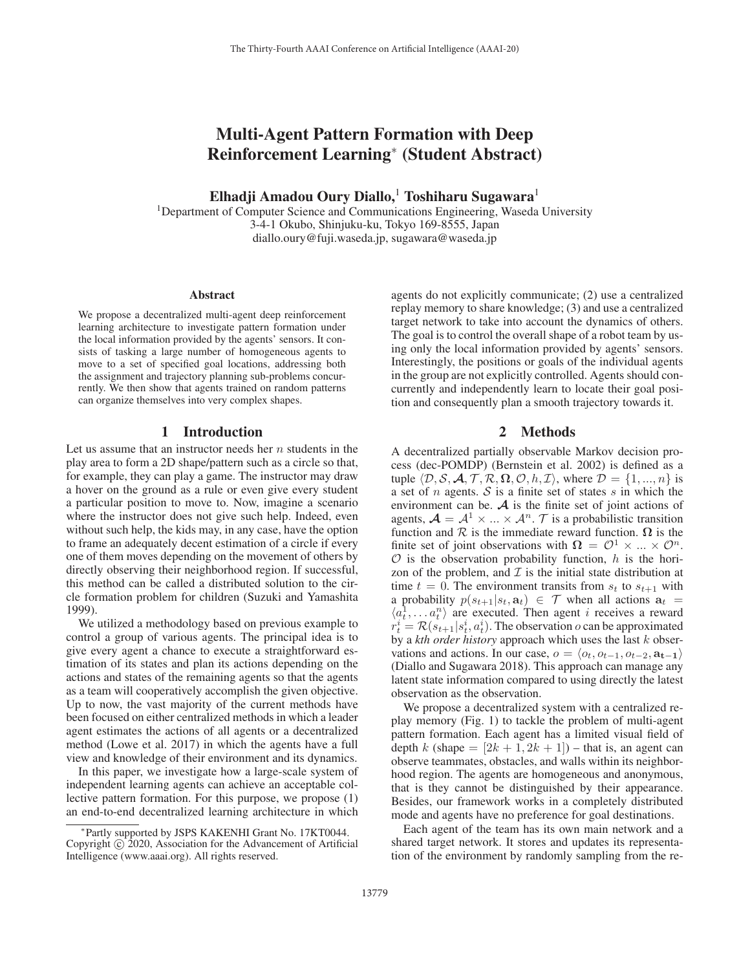# Multi-Agent Pattern Formation with Deep Reinforcement Learning<sup>∗</sup> (Student Abstract)

Elhadji Amadou Oury Diallo,<sup>1</sup> Toshiharu Sugawara<sup>1</sup>

<sup>1</sup>Department of Computer Science and Communications Engineering, Waseda University 3-4-1 Okubo, Shinjuku-ku, Tokyo 169-8555, Japan diallo.oury@fuji.waseda.jp, sugawara@waseda.jp

#### Abstract

We propose a decentralized multi-agent deep reinforcement learning architecture to investigate pattern formation under the local information provided by the agents' sensors. It consists of tasking a large number of homogeneous agents to move to a set of specified goal locations, addressing both the assignment and trajectory planning sub-problems concurrently. We then show that agents trained on random patterns can organize themselves into very complex shapes.

## 1 Introduction

Let us assume that an instructor needs her  $n$  students in the play area to form a 2D shape/pattern such as a circle so that, for example, they can play a game. The instructor may draw a hover on the ground as a rule or even give every student a particular position to move to. Now, imagine a scenario where the instructor does not give such help. Indeed, even without such help, the kids may, in any case, have the option to frame an adequately decent estimation of a circle if every one of them moves depending on the movement of others by directly observing their neighborhood region. If successful, this method can be called a distributed solution to the circle formation problem for children (Suzuki and Yamashita 1999).

We utilized a methodology based on previous example to control a group of various agents. The principal idea is to give every agent a chance to execute a straightforward estimation of its states and plan its actions depending on the actions and states of the remaining agents so that the agents as a team will cooperatively accomplish the given objective. Up to now, the vast majority of the current methods have been focused on either centralized methods in which a leader agent estimates the actions of all agents or a decentralized method (Lowe et al. 2017) in which the agents have a full view and knowledge of their environment and its dynamics.

In this paper, we investigate how a large-scale system of independent learning agents can achieve an acceptable collective pattern formation. For this purpose, we propose (1) an end-to-end decentralized learning architecture in which

agents do not explicitly communicate; (2) use a centralized replay memory to share knowledge; (3) and use a centralized target network to take into account the dynamics of others. The goal is to control the overall shape of a robot team by using only the local information provided by agents' sensors. Interestingly, the positions or goals of the individual agents in the group are not explicitly controlled. Agents should concurrently and independently learn to locate their goal position and consequently plan a smooth trajectory towards it.

### 2 Methods

A decentralized partially observable Markov decision process (dec-POMDP) (Bernstein et al. 2002) is defined as a tuple  $\langle \mathcal{D}, \mathcal{S}, \mathcal{A}, \mathcal{T}, \mathcal{R}, \mathbf{\Omega}, \mathcal{O}, h, \mathcal{I} \rangle$ , where  $\mathcal{D} = \{1, ..., n\}$  is a set of  $n$  agents.  $S$  is a finite set of states  $s$  in which the environment can be.  $A$  is the finite set of joint actions of agents,  $\mathcal{A} = \mathcal{A}^1 \times ... \times \mathcal{A}^n$ . *T* is a probabilistic transition function and  $\mathcal R$  is the immediate reward function.  $\Omega$  is the finite set of joint observations with  $\Omega = \mathcal{O}^1 \times ... \times \mathcal{O}^n$ .  $\mathcal O$  is the observation probability function, h is the horizon of the problem, and  $\mathcal I$  is the initial state distribution at time  $t = 0$ . The environment transits from  $s_t$  to  $s_{t+1}$  with a probability  $p(s_{t+1}|s_t, \mathbf{a}_t) \in \mathcal{T}$  when all actions  $\mathbf{a}_t =$  $\langle a_t^1, \ldots, a_t^n \rangle$  are executed. Then agent *i* receives a reward  $r_t^i = \mathcal{R}(s_{t+1}|s_t^i, a_t^i)$ . The observation *o* can be approximated by a *kth order history* approach which uses the last k observations and actions. In our case,  $o = \langle o_t, o_{t-1}, o_{t-2}, a_{t-1} \rangle$ (Diallo and Sugawara 2018). This approach can manage any latent state information compared to using directly the latest observation as the observation.

We propose a decentralized system with a centralized replay memory (Fig. 1) to tackle the problem of multi-agent pattern formation. Each agent has a limited visual field of depth k (shape  $= [2k + 1, 2k + 1]$ ) – that is, an agent can observe teammates, obstacles, and walls within its neighborhood region. The agents are homogeneous and anonymous, that is they cannot be distinguished by their appearance. Besides, our framework works in a completely distributed mode and agents have no preference for goal destinations.

Each agent of the team has its own main network and a shared target network. It stores and updates its representation of the environment by randomly sampling from the re-

<sup>∗</sup>Partly supported by JSPS KAKENHI Grant No. 17KT0044. Copyright  $\odot$  2020, Association for the Advancement of Artificial Intelligence (www.aaai.org). All rights reserved.